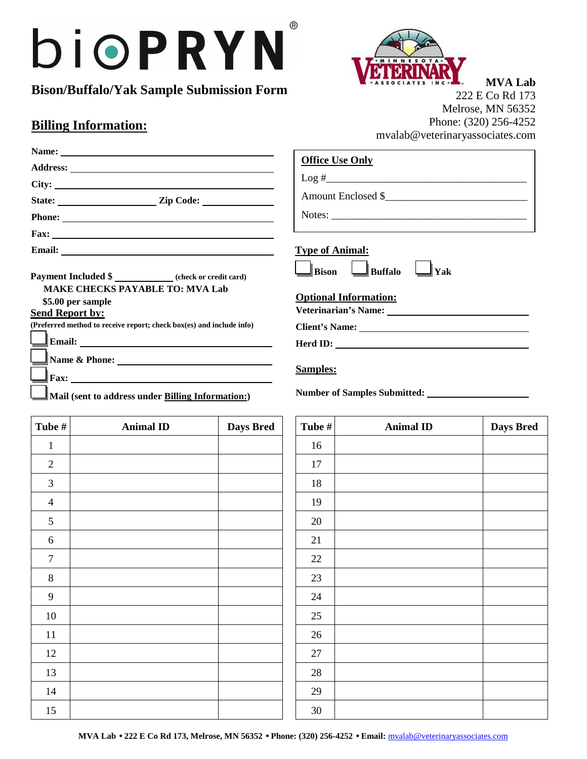## $\circledR$ bioPRYN

**Bison/Buffalo/Yak Sample Submission Form** 

## **Billing Information:**



**MVA Lab** 222 E Co Rd 173 Melrose, MN 56352 Phone: (320) 256-4252 mvalab@veterinaryassociates.com

|                                                                                                                                                                                                                           | <b>Office Use Only</b>                                                                                                                                                                                                                                                                                 |
|---------------------------------------------------------------------------------------------------------------------------------------------------------------------------------------------------------------------------|--------------------------------------------------------------------------------------------------------------------------------------------------------------------------------------------------------------------------------------------------------------------------------------------------------|
| $\text{City:}\n \qquad \qquad$                                                                                                                                                                                            |                                                                                                                                                                                                                                                                                                        |
| State: <u>Zip Code:</u>                                                                                                                                                                                                   | Amount Enclosed \$                                                                                                                                                                                                                                                                                     |
|                                                                                                                                                                                                                           | Notes:                                                                                                                                                                                                                                                                                                 |
|                                                                                                                                                                                                                           | the control of the control of the control of the control of the control of the control of the control of the control of the control of the control of the control of the control of the control of the control of the control                                                                          |
|                                                                                                                                                                                                                           | <b>Type of Animal:</b>                                                                                                                                                                                                                                                                                 |
| Payment Included \$ _____________ (check or credit card)<br><b>MAKE CHECKS PAYABLE TO: MVA Lab</b><br>\$5.00 per sample<br><b>Send Report by:</b><br>(Preferred method to receive report; check box(es) and include info) | $\Box$ Bison $\Box$ Buffalo<br>  Yak<br><b>Optional Information:</b><br>Veterinarian's Name: University of the Contractor of the Contractor of the Contractor of the Contractor of the Contractor of the Contractor of the Contractor of the Contractor of the Contractor of the Contractor of the Con |
|                                                                                                                                                                                                                           |                                                                                                                                                                                                                                                                                                        |
| $\text{Fax:}\_\_\_\_\_\_\_\$<br>$\Box$ Mail (sent to address under Billing Information:)                                                                                                                                  | $\text{Herd ID:}\n \overbrace{\phantom{aaaaa}}$<br><b>Samples:</b>                                                                                                                                                                                                                                     |

| Tube #         | <b>Animal ID</b> | <b>Days Bred</b> | Tube $#$ | <b>Animal ID</b> | <b>Days Bred</b> |
|----------------|------------------|------------------|----------|------------------|------------------|
| $\mathbf{1}$   |                  |                  | 16       |                  |                  |
| $\sqrt{2}$     |                  |                  | 17       |                  |                  |
| $\mathfrak{Z}$ |                  |                  | $18\,$   |                  |                  |
| $\overline{4}$ |                  |                  | 19       |                  |                  |
| 5              |                  |                  | 20       |                  |                  |
| 6              |                  |                  | 21       |                  |                  |
| $\overline{7}$ |                  |                  | 22       |                  |                  |
| $\, 8$         |                  |                  | 23       |                  |                  |
| $\overline{9}$ |                  |                  | 24       |                  |                  |
| $10\,$         |                  |                  | 25       |                  |                  |
| $11\,$         |                  |                  | 26       |                  |                  |
| $12\,$         |                  |                  | $27\,$   |                  |                  |
| 13             |                  |                  | $28\,$   |                  |                  |
| 14             |                  |                  | 29       |                  |                  |
| 15             |                  |                  | 30       |                  |                  |

| Tube # | <b>Animal ID</b> | Days Bred |
|--------|------------------|-----------|
| 16     |                  |           |
| 17     |                  |           |
| 18     |                  |           |
| 19     |                  |           |
| $20\,$ |                  |           |
| 21     |                  |           |
| 22     |                  |           |
| 23     |                  |           |
| 24     |                  |           |
| 25     |                  |           |
| 26     |                  |           |
| $27\,$ |                  |           |
| 28     |                  |           |
| 29     |                  |           |
| 30     |                  |           |